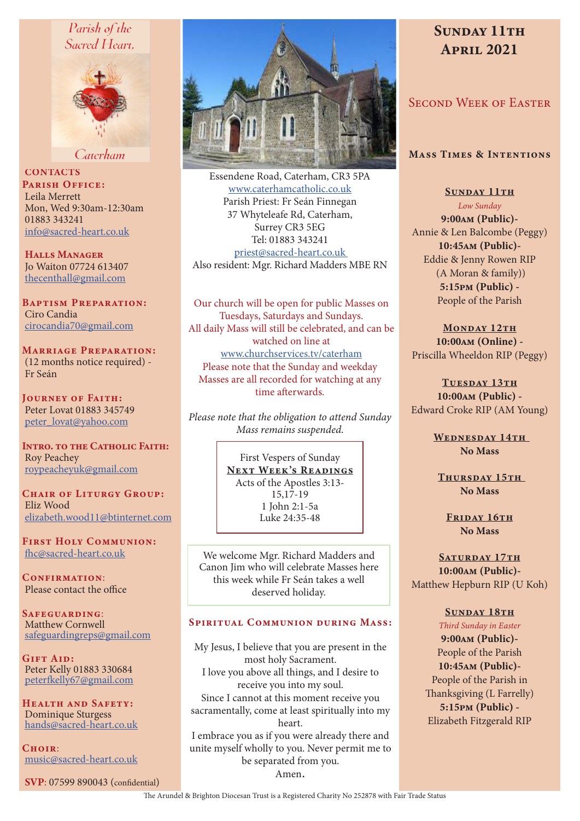# Parish of the Sacred Heart.



Caterham

**CONTACTS** PARISH OFFICE: Leila Merrett Mon, Wed 9:30am-12:30am 01883 343241 info@sacred-heart.co.uk

Halls Manager Jo Waiton 07724 613407 thecenthall@gmail.com

Baptism Preparation: Ciro Candia cirocandia70@gmail.com

Marriage Preparation: (12 months notice required) - Fr Seán

Journey of Faith: Peter Lovat 01883 345749 peter\_lovat@yahoo.com

INTRO. TO THE CATHOLIC FAITH: Roy Peachey roypeacheyuk@gmail.com

CHAIR OF LITURGY GROUP: Eliz Wood elizabeth.wood11@btinternet.com

First Holy Communion: fhc@sacred-heart.co.uk

CONFIRMATION: Please contact the office

SAFEGUARDING: Matthew Cornwell safeguardingreps@gmail.com

Gift Aid: Peter Kelly 01883 330684 peterfkelly67@gmail.com

Health and Safety: Dominique Sturgess hands@sacred-heart.co.uk

 $C$ HOIR $\cdot$ music@sacred-heart.co.uk

SVP: 07599 890043 (confidential)



Essendene Road, Caterham, CR3 5PA www.caterhamcatholic.co.uk Parish Priest: Fr Seán Finnegan 37 Whyteleafe Rd, Caterham, Surrey CR3 5EG Tel: 01883 343241 priest@sacred-heart.co.uk Also resident: Mgr. Richard Madders MBE RN

Our church will be open for public Masses on Tuesdays, Saturdays and Sundays. All daily Mass will still be celebrated, and can be watched on line at www.churchservices.tv/caterham Please note that the Sunday and weekday Masses are all recorded for watching at any time afterwards.

*Please note that the obligation to attend Sunday Mass remains suspended.*

> First Vespers of Sunday NEXT WEEK'S READINGS Acts of the Apostles 3:13- 15,17-19 1 John 2:1-5a Luke 24:35-48

We welcome Mgr. Richard Madders and Canon Jim who will celebrate Masses here this week while Fr Seán takes a well deserved holiday.

#### SPIRITUAL COMMUNION DURING MASS:

My Jesus, I believe that you are present in the most holy Sacrament. I love you above all things, and I desire to receive you into my soul. Since I cannot at this moment receive you sacramentally, come at least spiritually into my heart. I embrace you as if you were already there and

unite myself wholly to you. Never permit me to be separated from you. Amen.

# SUNDAY 11TH April 2021

# Second Week of Easter

#### Mass Times & Intentions

SUNDAY 11TH *Low Sunday* 9:00am (Public)- Annie & Len Balcombe (Peggy) 10:45am (Public)- Eddie & Jenny Rowen RIP (A Moran & family)) 5:15pm (Public) - People of the Parish

MONDAY 12TH 10:00am (Online) - Priscilla Wheeldon RIP (Peggy)

TUESDAY 13TH 10:00am (Public) - Edward Croke RIP (AM Young)

> WEDNESDAY 14TH No Mass

THURSDAY 15TH No Mass

FRIDAY 16TH No Mass

SATURDAY 17TH 10:00am (Public)- Matthew Hepburn RIP (U Koh)

#### SUNDAY 18TH

*Third Sunday in Easter* 9:00am (Public)- People of the Parish 10:45am (Public)- People of the Parish in Thanksgiving (L Farrelly) 5:15pm (Public) - Elizabeth Fitzgerald RIP

The Arundel & Brighton Diocesan Trust is a Registered Charity No 252878 with Fair Trade Status